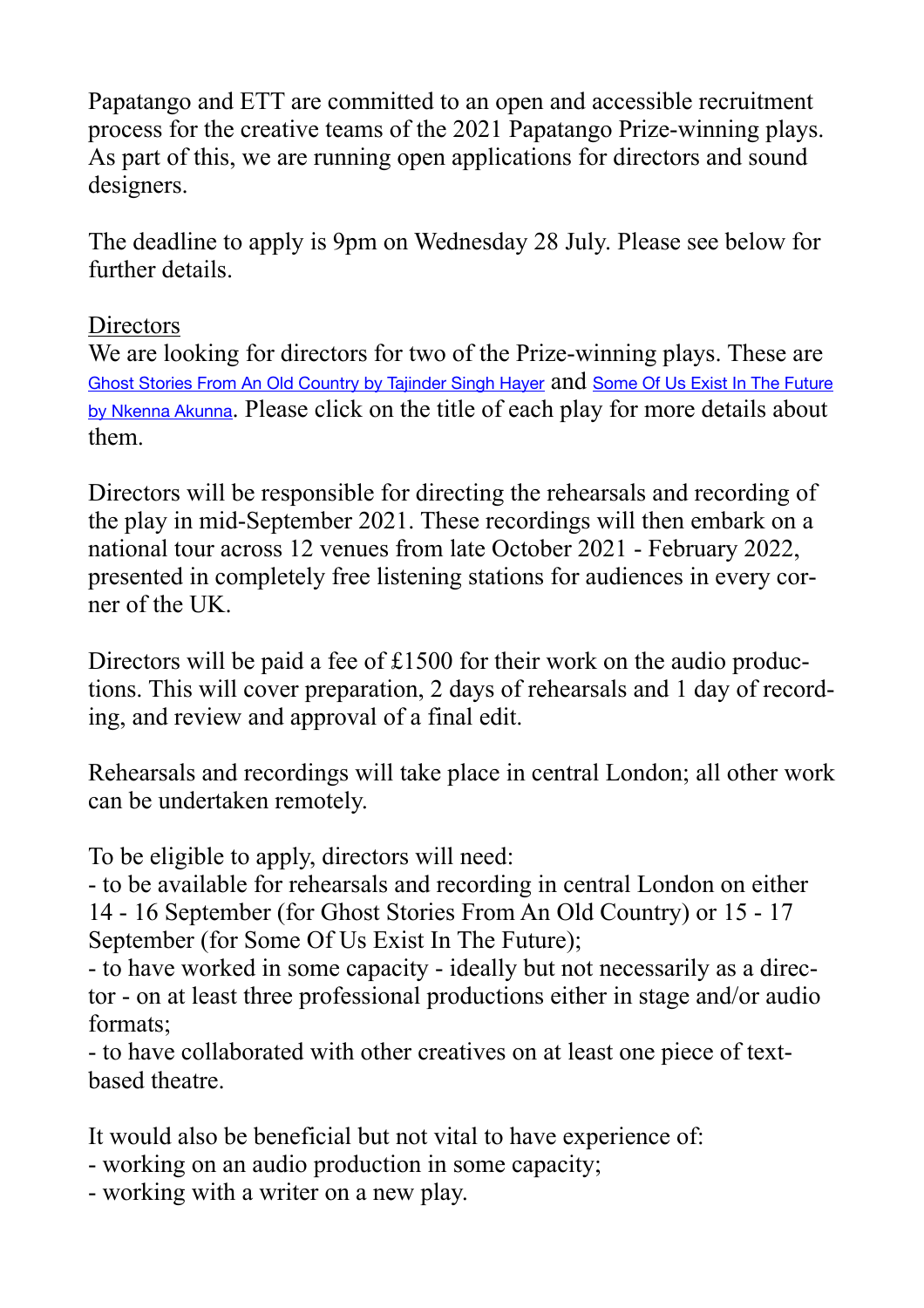Papatango and ETT are committed to an open and accessible recruitment process for the creative teams of the 2021 Papatango Prize-winning plays. As part of this, we are running open applications for directors and sound designers.

The deadline to apply is 9pm on Wednesday 28 July. Please see below for further details.

## **Directors**

We are looking for directors for two of the Prize-winning plays. These are [Ghost Stories From An Old Country by Tajinder Singh Hayer](https://papatango.co.uk/ghost-stories-from-an-old-country/) and [Some Of Us Exist In The Future](https://papatango.co.uk/some-of-us-exist-in-the-future/)  [by Nkenna Akunna](https://papatango.co.uk/some-of-us-exist-in-the-future/). Please click on the title of each play for more details about them.

Directors will be responsible for directing the rehearsals and recording of the play in mid-September 2021. These recordings will then embark on a national tour across 12 venues from late October 2021 - February 2022, presented in completely free listening stations for audiences in every corner of the UK.

Directors will be paid a fee of £1500 for their work on the audio productions. This will cover preparation, 2 days of rehearsals and 1 day of recording, and review and approval of a final edit.

Rehearsals and recordings will take place in central London; all other work can be undertaken remotely.

To be eligible to apply, directors will need:

- to be available for rehearsals and recording in central London on either 14 - 16 September (for Ghost Stories From An Old Country) or 15 - 17 September (for Some Of Us Exist In The Future);

- to have worked in some capacity - ideally but not necessarily as a director - on at least three professional productions either in stage and/or audio formats;

- to have collaborated with other creatives on at least one piece of textbased theatre.

It would also be beneficial but not vital to have experience of:

- working on an audio production in some capacity;
- working with a writer on a new play.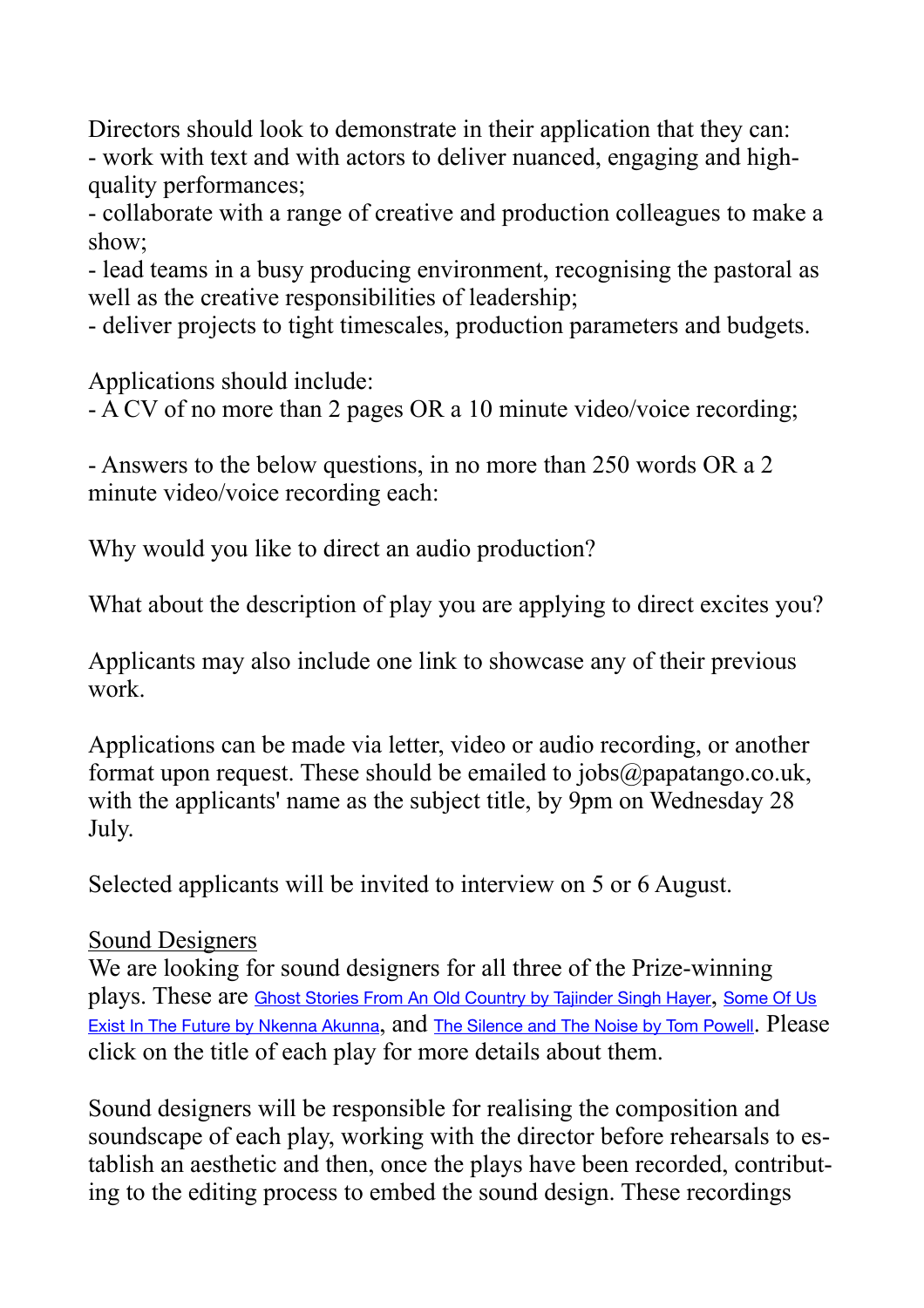Directors should look to demonstrate in their application that they can: - work with text and with actors to deliver nuanced, engaging and highquality performances;

- collaborate with a range of creative and production colleagues to make a show;

- lead teams in a busy producing environment, recognising the pastoral as well as the creative responsibilities of leadership;

- deliver projects to tight timescales, production parameters and budgets.

Applications should include:

- A CV of no more than 2 pages OR a 10 minute video/voice recording;

- Answers to the below questions, in no more than 250 words OR a 2 minute video/voice recording each:

Why would you like to direct an audio production?

What about the description of play you are applying to direct excites you?

Applicants may also include one link to showcase any of their previous work.

Applications can be made via letter, video or audio recording, or another format upon request. These should be emailed to  $i$ obs $\omega$ papatango.co.uk, with the applicants' name as the subject title, by 9pm on Wednesday 28 July.

Selected applicants will be invited to interview on 5 or 6 August.

## Sound Designers

We are looking for sound designers for all three of the Prize-winning plays. These are [Ghost Stories From An Old Country by Tajinder Singh Hayer](https://papatango.co.uk/ghost-stories-from-an-old-country/), [Some Of Us](https://papatango.co.uk/some-of-us-exist-in-the-future/)  [Exist In The Future by Nkenna Akunna](https://papatango.co.uk/some-of-us-exist-in-the-future/), and [The Silence and The Noise by Tom Powell](https://papatango.co.uk/the-silence-and-the-noise/). Please click on the title of each play for more details about them.

Sound designers will be responsible for realising the composition and soundscape of each play, working with the director before rehearsals to establish an aesthetic and then, once the plays have been recorded, contributing to the editing process to embed the sound design. These recordings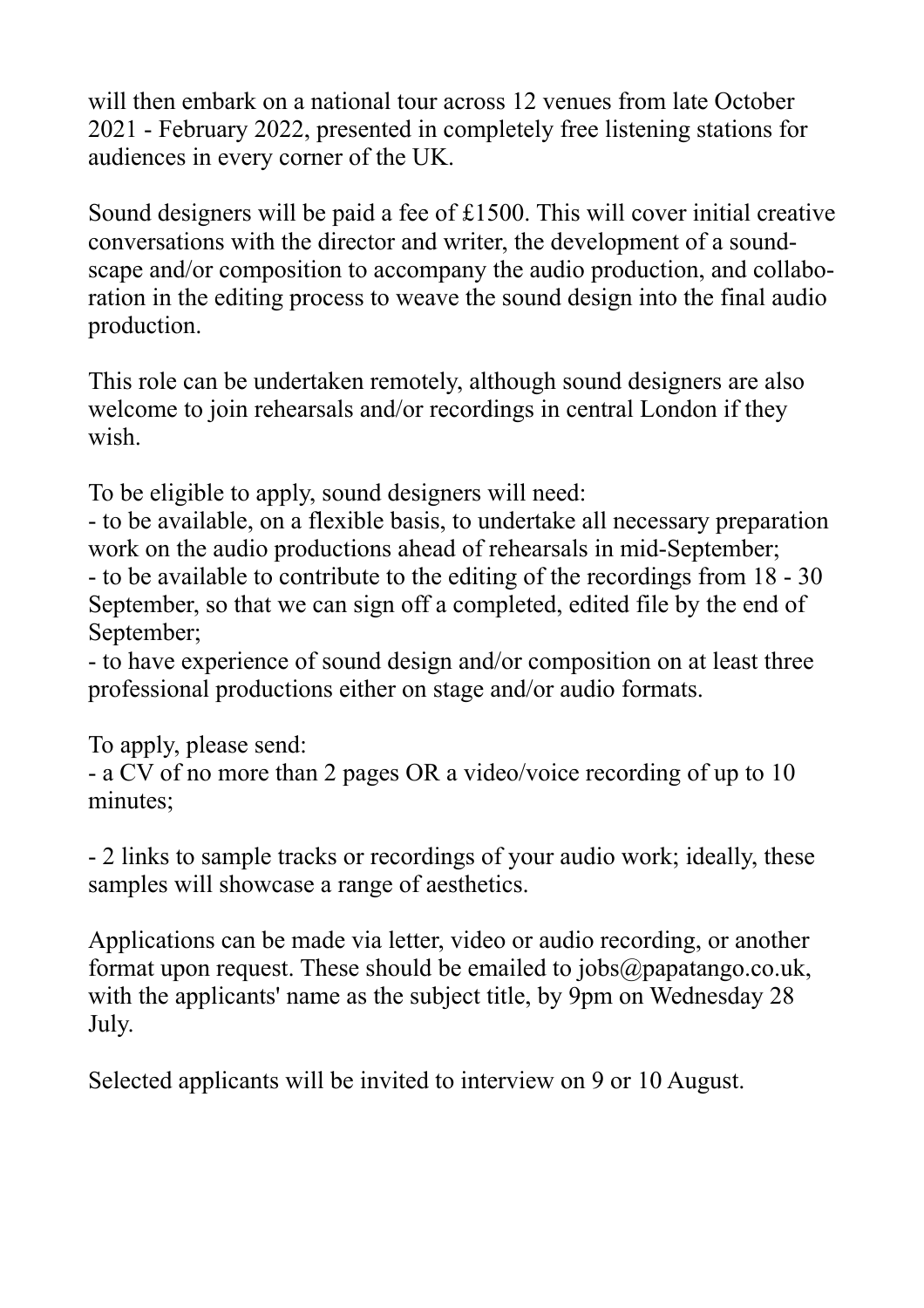will then embark on a national tour across 12 venues from late October 2021 - February 2022, presented in completely free listening stations for audiences in every corner of the UK.

Sound designers will be paid a fee of £1500. This will cover initial creative conversations with the director and writer, the development of a soundscape and/or composition to accompany the audio production, and collaboration in the editing process to weave the sound design into the final audio production.

This role can be undertaken remotely, although sound designers are also welcome to join rehearsals and/or recordings in central London if they wish.

To be eligible to apply, sound designers will need:

- to be available, on a flexible basis, to undertake all necessary preparation work on the audio productions ahead of rehearsals in mid-September; - to be available to contribute to the editing of the recordings from 18 - 30 September, so that we can sign off a completed, edited file by the end of September;

- to have experience of sound design and/or composition on at least three professional productions either on stage and/or audio formats.

To apply, please send:

- a CV of no more than 2 pages OR a video/voice recording of up to 10 minutes;

- 2 links to sample tracks or recordings of your audio work; ideally, these samples will showcase a range of aesthetics.

Applications can be made via letter, video or audio recording, or another format upon request. These should be emailed to jobs@papatango.co.uk, with the applicants' name as the subject title, by 9pm on Wednesday 28 July.

Selected applicants will be invited to interview on 9 or 10 August.